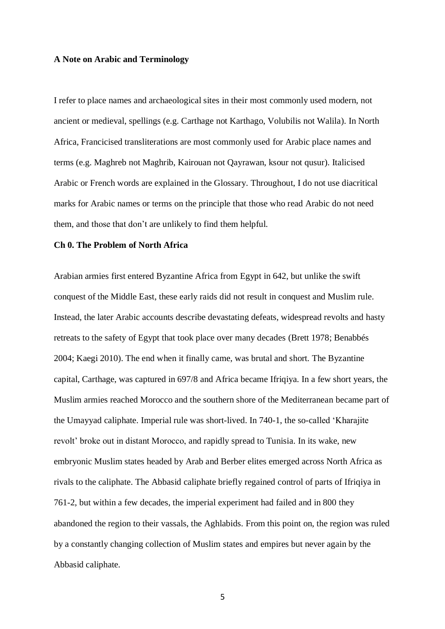## **A Note on Arabic and Terminology**

I refer to place names and archaeological sites in their most commonly used modern, not ancient or medieval, spellings (e.g. Carthage not Karthago, Volubilis not Walila). In North Africa, Francicised transliterations are most commonly used for Arabic place names and terms (e.g. Maghreb not Maghrib, Kairouan not Qayrawan, ksour not qusur). Italicised Arabic or French words are explained in the Glossary. Throughout, I do not use diacritical marks for Arabic names or terms on the principle that those who read Arabic do not need them, and those that don't are unlikely to find them helpful.

## **Ch 0. The Problem of North Africa**

Arabian armies first entered Byzantine Africa from Egypt in 642, but unlike the swift conquest of the Middle East, these early raids did not result in conquest and Muslim rule. Instead, the later Arabic accounts describe devastating defeats, widespread revolts and hasty retreats to the safety of Egypt that took place over many decades (Brett 1978; Benabbés 2004; Kaegi 2010). The end when it finally came, was brutal and short. The Byzantine capital, Carthage, was captured in 697/8 and Africa became Ifriqiya. In a few short years, the Muslim armies reached Morocco and the southern shore of the Mediterranean became part of the Umayyad caliphate. Imperial rule was short-lived. In 740-1, the so-called 'Kharajite revolt' broke out in distant Morocco, and rapidly spread to Tunisia. In its wake, new embryonic Muslim states headed by Arab and Berber elites emerged across North Africa as rivals to the caliphate. The Abbasid caliphate briefly regained control of parts of Ifriqiya in 761-2, but within a few decades, the imperial experiment had failed and in 800 they abandoned the region to their vassals, the Aghlabids. From this point on, the region was ruled by a constantly changing collection of Muslim states and empires but never again by the Abbasid caliphate.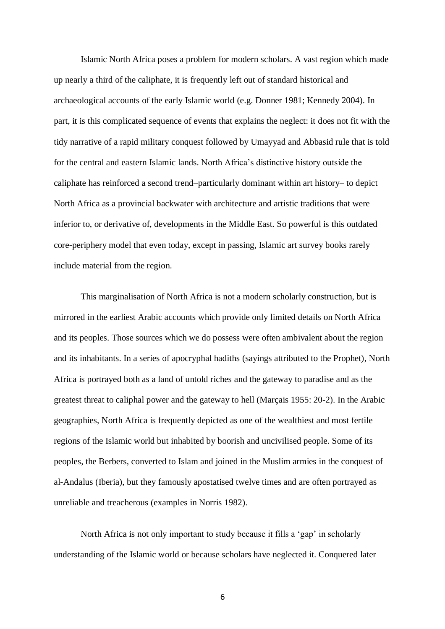Islamic North Africa poses a problem for modern scholars. A vast region which made up nearly a third of the caliphate, it is frequently left out of standard historical and archaeological accounts of the early Islamic world (e.g. Donner 1981; Kennedy 2004). In part, it is this complicated sequence of events that explains the neglect: it does not fit with the tidy narrative of a rapid military conquest followed by Umayyad and Abbasid rule that is told for the central and eastern Islamic lands. North Africa's distinctive history outside the caliphate has reinforced a second trend–particularly dominant within art history– to depict North Africa as a provincial backwater with architecture and artistic traditions that were inferior to, or derivative of, developments in the Middle East. So powerful is this outdated core-periphery model that even today, except in passing, Islamic art survey books rarely include material from the region.

This marginalisation of North Africa is not a modern scholarly construction, but is mirrored in the earliest Arabic accounts which provide only limited details on North Africa and its peoples. Those sources which we do possess were often ambivalent about the region and its inhabitants. In a series of apocryphal hadiths (sayings attributed to the Prophet), North Africa is portrayed both as a land of untold riches and the gateway to paradise and as the greatest threat to caliphal power and the gateway to hell (Marçais 1955: 20-2). In the Arabic geographies, North Africa is frequently depicted as one of the wealthiest and most fertile regions of the Islamic world but inhabited by boorish and uncivilised people. Some of its peoples, the Berbers, converted to Islam and joined in the Muslim armies in the conquest of al-Andalus (Iberia), but they famously apostatised twelve times and are often portrayed as unreliable and treacherous (examples in Norris 1982).

North Africa is not only important to study because it fills a 'gap' in scholarly understanding of the Islamic world or because scholars have neglected it. Conquered later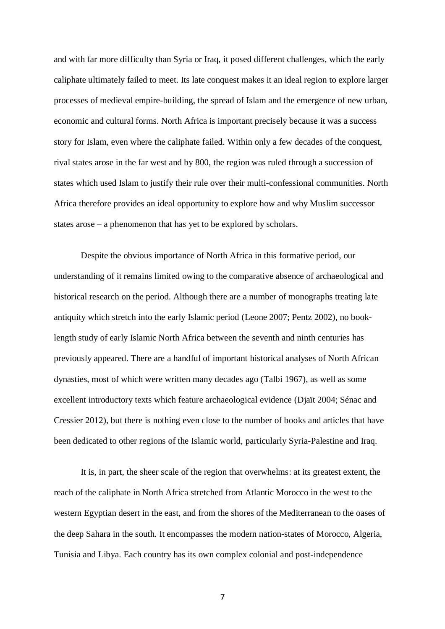and with far more difficulty than Syria or Iraq, it posed different challenges, which the early caliphate ultimately failed to meet. Its late conquest makes it an ideal region to explore larger processes of medieval empire-building, the spread of Islam and the emergence of new urban, economic and cultural forms. North Africa is important precisely because it was a success story for Islam, even where the caliphate failed. Within only a few decades of the conquest, rival states arose in the far west and by 800, the region was ruled through a succession of states which used Islam to justify their rule over their multi-confessional communities. North Africa therefore provides an ideal opportunity to explore how and why Muslim successor states arose – a phenomenon that has yet to be explored by scholars.

Despite the obvious importance of North Africa in this formative period, our understanding of it remains limited owing to the comparative absence of archaeological and historical research on the period. Although there are a number of monographs treating late antiquity which stretch into the early Islamic period (Leone 2007; Pentz 2002), no booklength study of early Islamic North Africa between the seventh and ninth centuries has previously appeared. There are a handful of important historical analyses of North African dynasties, most of which were written many decades ago (Talbi 1967), as well as some excellent introductory texts which feature archaeological evidence (Djaït 2004; Sénac and Cressier 2012), but there is nothing even close to the number of books and articles that have been dedicated to other regions of the Islamic world, particularly Syria-Palestine and Iraq.

It is, in part, the sheer scale of the region that overwhelms: at its greatest extent, the reach of the caliphate in North Africa stretched from Atlantic Morocco in the west to the western Egyptian desert in the east, and from the shores of the Mediterranean to the oases of the deep Sahara in the south. It encompasses the modern nation-states of Morocco, Algeria, Tunisia and Libya. Each country has its own complex colonial and post-independence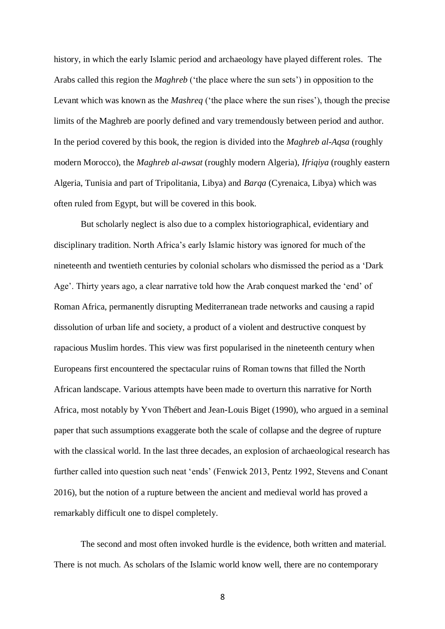history, in which the early Islamic period and archaeology have played different roles. The Arabs called this region the *Maghreb* ('the place where the sun sets') in opposition to the Levant which was known as the *Mashreq* ('the place where the sun rises'), though the precise limits of the Maghreb are poorly defined and vary tremendously between period and author. In the period covered by this book, the region is divided into the *Maghreb al-Aqsa* (roughly modern Morocco), the *Maghreb al-awsat* (roughly modern Algeria), *Ifriqiya* (roughly eastern Algeria, Tunisia and part of Tripolitania, Libya) and *Barqa* (Cyrenaica, Libya) which was often ruled from Egypt, but will be covered in this book.

But scholarly neglect is also due to a complex historiographical, evidentiary and disciplinary tradition. North Africa's early Islamic history was ignored for much of the nineteenth and twentieth centuries by colonial scholars who dismissed the period as a 'Dark Age'. Thirty years ago, a clear narrative told how the Arab conquest marked the 'end' of Roman Africa, permanently disrupting Mediterranean trade networks and causing a rapid dissolution of urban life and society, a product of a violent and destructive conquest by rapacious Muslim hordes. This view was first popularised in the nineteenth century when Europeans first encountered the spectacular ruins of Roman towns that filled the North African landscape. Various attempts have been made to overturn this narrative for North Africa, most notably by Yvon Thébert and Jean-Louis Biget (1990), who argued in a seminal paper that such assumptions exaggerate both the scale of collapse and the degree of rupture with the classical world. In the last three decades, an explosion of archaeological research has further called into question such neat 'ends' (Fenwick 2013, Pentz 1992, Stevens and Conant 2016), but the notion of a rupture between the ancient and medieval world has proved a remarkably difficult one to dispel completely.

 The second and most often invoked hurdle is the evidence, both written and material. There is not much. As scholars of the Islamic world know well, there are no contemporary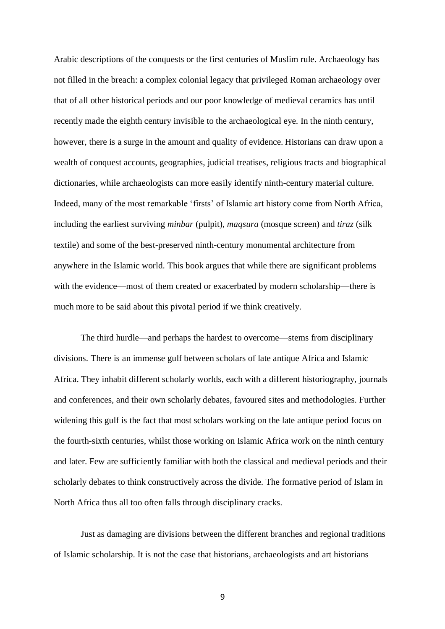Arabic descriptions of the conquests or the first centuries of Muslim rule. Archaeology has not filled in the breach: a complex colonial legacy that privileged Roman archaeology over that of all other historical periods and our poor knowledge of medieval ceramics has until recently made the eighth century invisible to the archaeological eye. In the ninth century, however, there is a surge in the amount and quality of evidence. Historians can draw upon a wealth of conquest accounts, geographies, judicial treatises, religious tracts and biographical dictionaries, while archaeologists can more easily identify ninth-century material culture. Indeed, many of the most remarkable 'firsts' of Islamic art history come from North Africa, including the earliest surviving *minbar* (pulpit), *maqsura* (mosque screen) and *tiraz* (silk textile) and some of the best-preserved ninth-century monumental architecture from anywhere in the Islamic world. This book argues that while there are significant problems with the evidence—most of them created or exacerbated by modern scholarship—there is much more to be said about this pivotal period if we think creatively.

 The third hurdle—and perhaps the hardest to overcome—stems from disciplinary divisions. There is an immense gulf between scholars of late antique Africa and Islamic Africa. They inhabit different scholarly worlds, each with a different historiography, journals and conferences, and their own scholarly debates, favoured sites and methodologies. Further widening this gulf is the fact that most scholars working on the late antique period focus on the fourth-sixth centuries, whilst those working on Islamic Africa work on the ninth century and later. Few are sufficiently familiar with both the classical and medieval periods and their scholarly debates to think constructively across the divide. The formative period of Islam in North Africa thus all too often falls through disciplinary cracks.

 Just as damaging are divisions between the different branches and regional traditions of Islamic scholarship. It is not the case that historians, archaeologists and art historians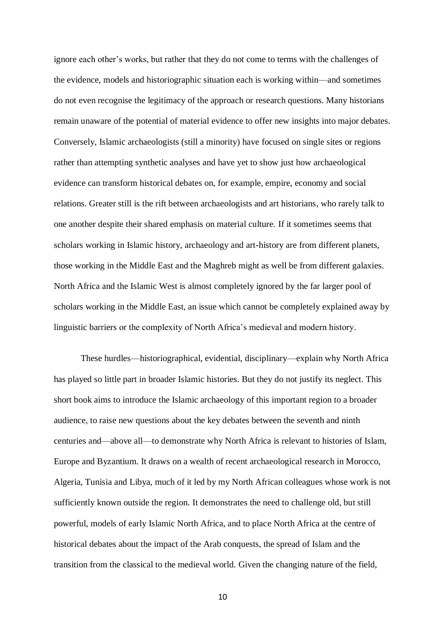ignore each other's works, but rather that they do not come to terms with the challenges of the evidence, models and historiographic situation each is working within—and sometimes do not even recognise the legitimacy of the approach or research questions. Many historians remain unaware of the potential of material evidence to offer new insights into major debates. Conversely, Islamic archaeologists (still a minority) have focused on single sites or regions rather than attempting synthetic analyses and have yet to show just how archaeological evidence can transform historical debates on, for example, empire, economy and social relations. Greater still is the rift between archaeologists and art historians, who rarely talk to one another despite their shared emphasis on material culture. If it sometimes seems that scholars working in Islamic history, archaeology and art-history are from different planets, those working in the Middle East and the Maghreb might as well be from different galaxies. North Africa and the Islamic West is almost completely ignored by the far larger pool of scholars working in the Middle East, an issue which cannot be completely explained away by linguistic barriers or the complexity of North Africa's medieval and modern history.

 These hurdles—historiographical, evidential, disciplinary—explain why North Africa has played so little part in broader Islamic histories. But they do not justify its neglect. This short book aims to introduce the Islamic archaeology of this important region to a broader audience, to raise new questions about the key debates between the seventh and ninth centuries and—above all—to demonstrate why North Africa is relevant to histories of Islam, Europe and Byzantium. It draws on a wealth of recent archaeological research in Morocco, Algeria, Tunisia and Libya, much of it led by my North African colleagues whose work is not sufficiently known outside the region. It demonstrates the need to challenge old, but still powerful, models of early Islamic North Africa, and to place North Africa at the centre of historical debates about the impact of the Arab conquests, the spread of Islam and the transition from the classical to the medieval world. Given the changing nature of the field,